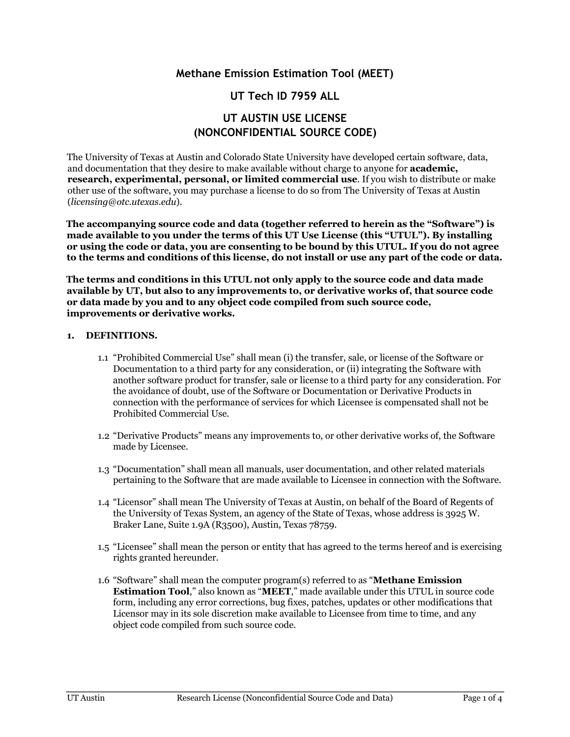# **Methane Emission Estimation Tool (MEET)**

# **UT Tech ID 7959 ALL**

# **UT AUSTIN USE LICENSE (NONCONFIDENTIAL SOURCE CODE)**

The University of Texas at Austin and Colorado State University have developed certain software, data, and documentation that they desire to make available without charge to anyone for **academic, research, experimental, personal, or limited commercial use**. If you wish to distribute or make other use of the software, you may purchase a license to do so from The University of Texas at Austin (*licensing@otc.utexas.edu*).

**The accompanying source code and data (together referred to herein as the "Software") is made available to you under the terms of this UT Use License (this "UTUL"). By installing or using the code or data, you are consenting to be bound by this UTUL. If you do not agree to the terms and conditions of this license, do not install or use any part of the code or data.**

**The terms and conditions in this UTUL not only apply to the source code and data made available by UT, but also to any improvements to, or derivative works of, that source code or data made by you and to any object code compiled from such source code, improvements or derivative works.**

#### **1. DEFINITIONS.**

- 1.1 "Prohibited Commercial Use" shall mean (i) the transfer, sale, or license of the Software or Documentation to a third party for any consideration, or (ii) integrating the Software with another software product for transfer, sale or license to a third party for any consideration. For the avoidance of doubt, use of the Software or Documentation or Derivative Products in connection with the performance of services for which Licensee is compensated shall not be Prohibited Commercial Use.
- 1.2 "Derivative Products" means any improvements to, or other derivative works of, the Software made by Licensee.
- 1.3 "Documentation" shall mean all manuals, user documentation, and other related materials pertaining to the Software that are made available to Licensee in connection with the Software.
- 1.4 "Licensor" shall mean The University of Texas at Austin, on behalf of the Board of Regents of the University of Texas System, an agency of the State of Texas, whose address is 3925 W. Braker Lane, Suite 1.9A (R3500), Austin, Texas 78759.
- 1.5 "Licensee" shall mean the person or entity that has agreed to the terms hereof and is exercising rights granted hereunder.
- 1.6 "Software" shall mean the computer program(s) referred to as "**Methane Emission Estimation Tool**," also known as "**MEET**," made available under this UTUL in source code form, including any error corrections, bug fixes, patches, updates or other modifications that Licensor may in its sole discretion make available to Licensee from time to time, and any object code compiled from such source code.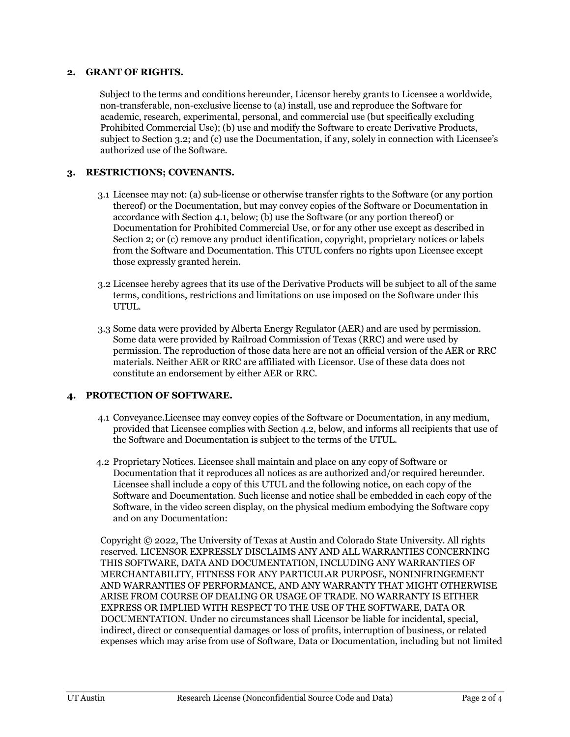#### **2. GRANT OF RIGHTS.**

Subject to the terms and conditions hereunder, Licensor hereby grants to Licensee a worldwide, non-transferable, non-exclusive license to (a) install, use and reproduce the Software for academic, research, experimental, personal, and commercial use (but specifically excluding Prohibited Commercial Use); (b) use and modify the Software to create Derivative Products, subject to Section 3.2; and (c) use the Documentation, if any, solely in connection with Licensee's authorized use of the Software.

# **3. RESTRICTIONS; COVENANTS.**

- 3.1 Licensee may not: (a) sub-license or otherwise transfer rights to the Software (or any portion thereof) or the Documentation, but may convey copies of the Software or Documentation in accordance with Section 4.1, below; (b) use the Software (or any portion thereof) or Documentation for Prohibited Commercial Use, or for any other use except as described in Section 2; or (c) remove any product identification, copyright, proprietary notices or labels from the Software and Documentation. This UTUL confers no rights upon Licensee except those expressly granted herein.
- 3.2 Licensee hereby agrees that its use of the Derivative Products will be subject to all of the same terms, conditions, restrictions and limitations on use imposed on the Software under this UTUL.
- 3.3 Some data were provided by Alberta Energy Regulator (AER) and are used by permission. Some data were provided by Railroad Commission of Texas (RRC) and were used by permission. The reproduction of those data here are not an official version of the AER or RRC materials. Neither AER or RRC are affiliated with Licensor. Use of these data does not constitute an endorsement by either AER or RRC.

# **4. PROTECTION OF SOFTWARE.**

- 4.1 Conveyance.Licensee may convey copies of the Software or Documentation, in any medium, provided that Licensee complies with Section 4.2, below, and informs all recipients that use of the Software and Documentation is subject to the terms of the UTUL.
- 4.2 Proprietary Notices. Licensee shall maintain and place on any copy of Software or Documentation that it reproduces all notices as are authorized and/or required hereunder. Licensee shall include a copy of this UTUL and the following notice, on each copy of the Software and Documentation. Such license and notice shall be embedded in each copy of the Software, in the video screen display, on the physical medium embodying the Software copy and on any Documentation:

Copyright © 2022, The University of Texas at Austin and Colorado State University. All rights reserved. LICENSOR EXPRESSLY DISCLAIMS ANY AND ALL WARRANTIES CONCERNING THIS SOFTWARE, DATA AND DOCUMENTATION, INCLUDING ANY WARRANTIES OF MERCHANTABILITY, FITNESS FOR ANY PARTICULAR PURPOSE, NONINFRINGEMENT AND WARRANTIES OF PERFORMANCE, AND ANY WARRANTY THAT MIGHT OTHERWISE ARISE FROM COURSE OF DEALING OR USAGE OF TRADE. NO WARRANTY IS EITHER EXPRESS OR IMPLIED WITH RESPECT TO THE USE OF THE SOFTWARE, DATA OR DOCUMENTATION. Under no circumstances shall Licensor be liable for incidental, special, indirect, direct or consequential damages or loss of profits, interruption of business, or related expenses which may arise from use of Software, Data or Documentation, including but not limited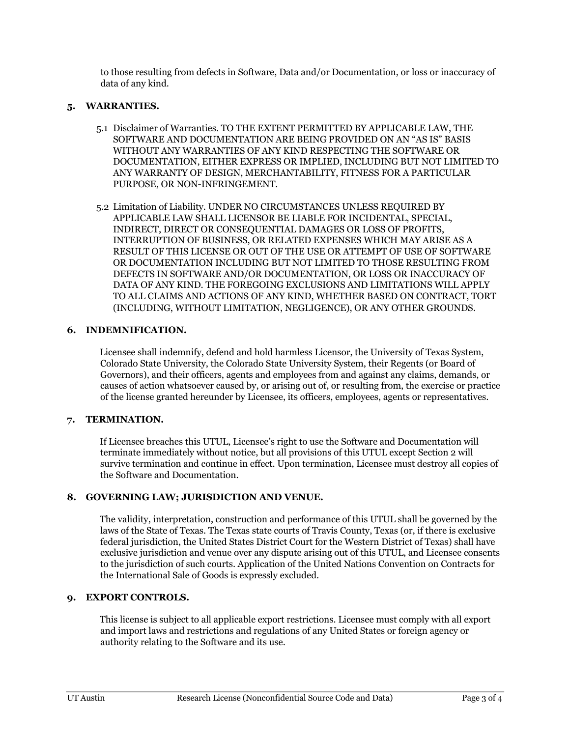to those resulting from defects in Software, Data and/or Documentation, or loss or inaccuracy of data of any kind.

# **5. WARRANTIES.**

- 5.1 Disclaimer of Warranties. TO THE EXTENT PERMITTED BY APPLICABLE LAW, THE SOFTWARE AND DOCUMENTATION ARE BEING PROVIDED ON AN "AS IS" BASIS WITHOUT ANY WARRANTIES OF ANY KIND RESPECTING THE SOFTWARE OR DOCUMENTATION, EITHER EXPRESS OR IMPLIED, INCLUDING BUT NOT LIMITED TO ANY WARRANTY OF DESIGN, MERCHANTABILITY, FITNESS FOR A PARTICULAR PURPOSE, OR NON-INFRINGEMENT.
- 5.2 Limitation of Liability. UNDER NO CIRCUMSTANCES UNLESS REQUIRED BY APPLICABLE LAW SHALL LICENSOR BE LIABLE FOR INCIDENTAL, SPECIAL, INDIRECT, DIRECT OR CONSEQUENTIAL DAMAGES OR LOSS OF PROFITS, INTERRUPTION OF BUSINESS, OR RELATED EXPENSES WHICH MAY ARISE AS A RESULT OF THIS LICENSE OR OUT OF THE USE OR ATTEMPT OF USE OF SOFTWARE OR DOCUMENTATION INCLUDING BUT NOT LIMITED TO THOSE RESULTING FROM DEFECTS IN SOFTWARE AND/OR DOCUMENTATION, OR LOSS OR INACCURACY OF DATA OF ANY KIND. THE FOREGOING EXCLUSIONS AND LIMITATIONS WILL APPLY TO ALL CLAIMS AND ACTIONS OF ANY KIND, WHETHER BASED ON CONTRACT, TORT (INCLUDING, WITHOUT LIMITATION, NEGLIGENCE), OR ANY OTHER GROUNDS.

# **6. INDEMNIFICATION.**

Licensee shall indemnify, defend and hold harmless Licensor, the University of Texas System, Colorado State University, the Colorado State University System, their Regents (or Board of Governors), and their officers, agents and employees from and against any claims, demands, or causes of action whatsoever caused by, or arising out of, or resulting from, the exercise or practice of the license granted hereunder by Licensee, its officers, employees, agents or representatives.

#### **7. TERMINATION.**

If Licensee breaches this UTUL, Licensee's right to use the Software and Documentation will terminate immediately without notice, but all provisions of this UTUL except Section 2 will survive termination and continue in effect. Upon termination, Licensee must destroy all copies of the Software and Documentation.

#### **8. GOVERNING LAW; JURISDICTION AND VENUE.**

The validity, interpretation, construction and performance of this UTUL shall be governed by the laws of the State of Texas. The Texas state courts of Travis County, Texas (or, if there is exclusive federal jurisdiction, the United States District Court for the Western District of Texas) shall have exclusive jurisdiction and venue over any dispute arising out of this UTUL, and Licensee consents to the jurisdiction of such courts. Application of the United Nations Convention on Contracts for the International Sale of Goods is expressly excluded.

# **9. EXPORT CONTROLS.**

This license is subject to all applicable export restrictions. Licensee must comply with all export and import laws and restrictions and regulations of any United States or foreign agency or authority relating to the Software and its use.